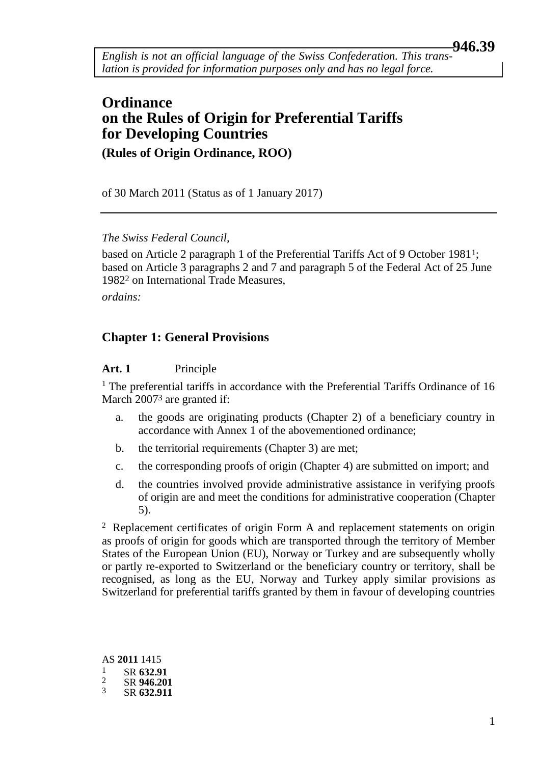<span id="page-0-0"></span>*English is not an official language of the Swiss Confederation. This translation is provided for information purposes only and has no legal force.*

## **Ordinance on the Rules of Origin for Preferential Tariffs for Developing Countries (Rules of Origin Ordinance, ROO)**

of 30 March 2011 (Status as of 1 January 2017)

*The Swiss Federal Council,*

based on Article 2 paragraph 1 of the Preferential Tariffs Act of 9 October 1981<sup>1</sup>; based on Article 3 paragraphs 2 and 7 and paragraph 5 of the Federal Act of 25 June 19822 on International Trade Measures,

*ordains:*

#### **Chapter 1: General Provisions**

#### **Art. 1** Principle

<sup>1</sup> The preferential tariffs in accordance with the Preferential Tariffs Ordinance of 16 March 20073 are granted if:

- a. the goods are originating products (Chapter 2) of a beneficiary country in accordance with Annex 1 of the abovementioned ordinance;
- b. the territorial requirements (Chapter 3) are met;
- c. the corresponding proofs of origin (Chapter 4) are submitted on import; and
- d. the countries involved provide administrative assistance in verifying proofs of origin are and meet the conditions for administrative cooperation (Chapter 5).

 $2$  Replacement certificates of origin Form A and replacement statements on origin as proofs of origin for goods which are transported through the territory of Member States of the European Union (EU), Norway or Turkey and are subsequently wholly or partly re-exported to Switzerland or the beneficiary country or territory, shall be recognised, as long as the EU, Norway and Turkey apply similar provisions as Switzerland for preferential tariffs granted by them in favour of developing countries

AS **2011** 1415  $\frac{1}{2}$  SR 632.91  $\frac{2}{3}$  SR 946.201 3 SR **632.911**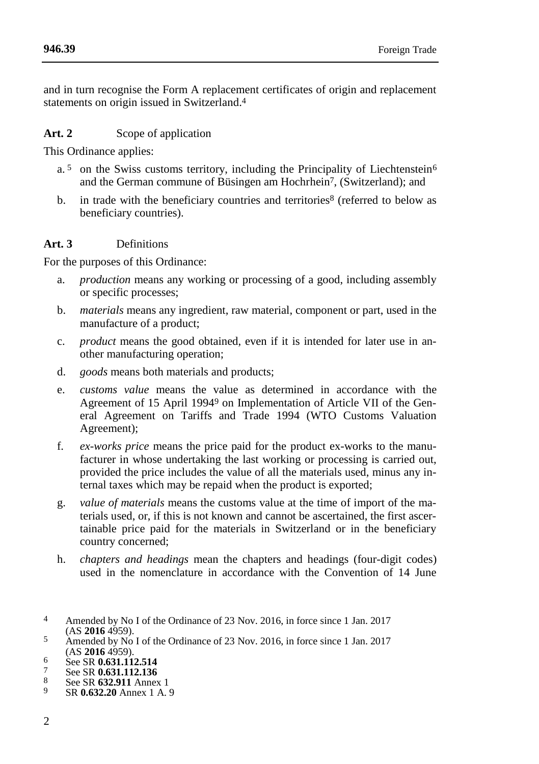and in turn recognise the Form A replacement certificates of origin and replacement statements on origin issued in Switzerland.4

## Art. 2 Scope of application

This Ordinance applies:

- a.<sup>5</sup> on the Swiss customs territory, including the Principality of Liechtenstein<sup>6</sup> and the German commune of Büsingen am Hochrhein7, (Switzerland); and
- b. in trade with the beneficiary countries and territories $8$  (referred to below as beneficiary countries).

## **Art. 3** Definitions

For the purposes of this Ordinance:

- a. *production* means any working or processing of a good, including assembly or specific processes;
- b. *materials* means any ingredient, raw material, component or part, used in the manufacture of a product;
- c. *product* means the good obtained, even if it is intended for later use in another manufacturing operation;
- d. *goods* means both materials and products;
- e. *customs value* means the value as determined in accordance with the Agreement of 15 April 19949 on Implementation of Article VII of the General Agreement on Tariffs and Trade 1994 (WTO Customs Valuation Agreement);
- f. *ex-works price* means the price paid for the product ex-works to the manufacturer in whose undertaking the last working or processing is carried out, provided the price includes the value of all the materials used, minus any internal taxes which may be repaid when the product is exported;
- g. *value of materials* means the customs value at the time of import of the materials used, or, if this is not known and cannot be ascertained, the first ascertainable price paid for the materials in Switzerland or in the beneficiary country concerned;
- h. *chapters and headings* mean the chapters and headings (four-digit codes) used in the nomenclature in accordance with the Convention of 14 June

- 7 See SR 0.631.112.136<br>8 See SB 632.011.Appex
- $\frac{8}{9}$  See SR 632.911 Annex 1
- 9 SR **0.632.20** Annex 1 A. 9

<sup>4</sup> Amended by No I of the Ordinance of 23 Nov. 2016, in force since 1 Jan. 2017 (AS **2016** 4959).

 $\frac{5}{20}$  Amended by No I of the Ordinance of 23 Nov. 2016, in force since 1 Jan. 2017 (AS **2016** 4959).

<sup>6</sup> See SR **0.631.112.514**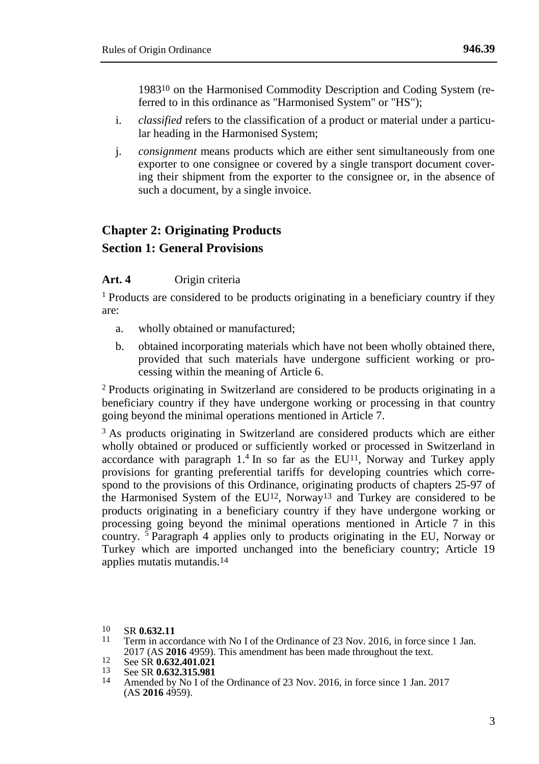198310 on the Harmonised Commodity Description and Coding System (referred to in this ordinance as "Harmonised System" or "HS");

- i. *classified* refers to the classification of a product or material under a particular heading in the Harmonised System;
- j. *consignment* means products which are either sent simultaneously from one exporter to one consignee or covered by a single transport document covering their shipment from the exporter to the consignee or, in the absence of such a document, by a single invoice.

# **Chapter 2: Originating Products Section 1: General Provisions**

#### **Art. 4** Origin criteria

<sup>1</sup> Products are considered to be products originating in a beneficiary country if they are:

- a. wholly obtained or manufactured;
- b. obtained incorporating materials which have not been wholly obtained there, provided that such materials have undergone sufficient working or processing within the meaning of Article 6.

<sup>2</sup> Products originating in Switzerland are considered to be products originating in a beneficiary country if they have undergone working or processing in that country going beyond the minimal operations mentioned in Article 7.

<sup>3</sup> As products originating in Switzerland are considered products which are either wholly obtained or produced or sufficiently worked or processed in Switzerland in accordance with paragraph 1.<sup>4</sup> In so far as the EU<sup>11</sup>, Norway and Turkey apply provisions for granting preferential tariffs for developing countries which correspond to the provisions of this Ordinance, originating products of chapters 25-97 of the Harmonised System of the EU<sup>12</sup>, Norway<sup>13</sup> and Turkey are considered to be products originating in a beneficiary country if they have undergone working or processing going beyond the minimal operations mentioned in Article 7 in this country. <sup>5</sup> Paragraph 4 applies only to products originating in the EU, Norway or Turkey which are imported unchanged into the beneficiary country; Article 19 applies mutatis mutandis.<sup>14</sup>

- Term in accordance with No I of the Ordinance of 23 Nov. 2016, in force since 1 Jan. 2017 (AS **2016** 4959). This amendment has been made throughout the text.
- 12 See SR **0.632.401.021**<br>13 See SR **0.632.401.021**
- 13 See SR **0.632.315.981**
- Amended by No I of the Ordinance of 23 Nov. 2016, in force since 1 Jan. 2017  $(AS 2016 4959).$

<sup>10</sup> SR **0.632.11**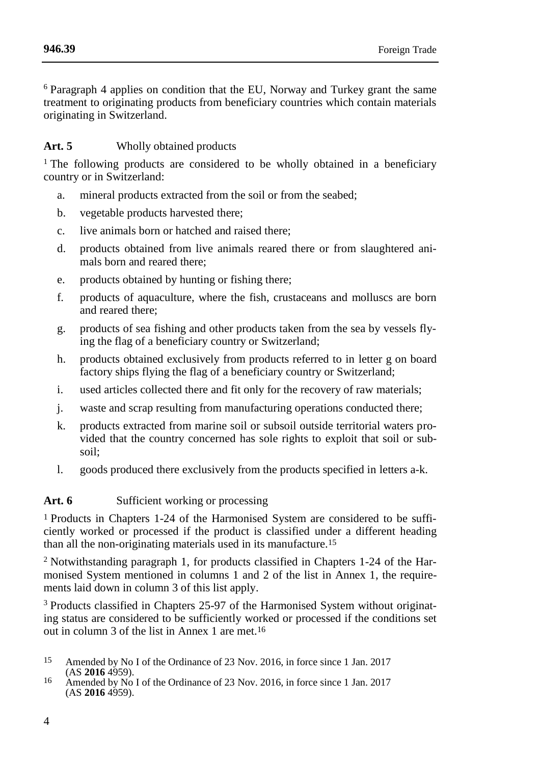<sup>6</sup> Paragraph 4 applies on condition that the EU, Norway and Turkey grant the same treatment to originating products from beneficiary countries which contain materials originating in Switzerland.

## **Art. 5** Wholly obtained products

<sup>1</sup> The following products are considered to be wholly obtained in a beneficiary country or in Switzerland:

- a. mineral products extracted from the soil or from the seabed;
- b. vegetable products harvested there;
- c. live animals born or hatched and raised there;
- d. products obtained from live animals reared there or from slaughtered animals born and reared there;
- e. products obtained by hunting or fishing there;
- f. products of aquaculture, where the fish, crustaceans and molluscs are born and reared there;
- g. products of sea fishing and other products taken from the sea by vessels flying the flag of a beneficiary country or Switzerland;
- h. products obtained exclusively from products referred to in letter g on board factory ships flying the flag of a beneficiary country or Switzerland;
- i. used articles collected there and fit only for the recovery of raw materials;
- j. waste and scrap resulting from manufacturing operations conducted there;
- k. products extracted from marine soil or subsoil outside territorial waters provided that the country concerned has sole rights to exploit that soil or subsoil;
- l. goods produced there exclusively from the products specified in letters a-k.

## Art. 6 Sufficient working or processing

1 Products in Chapters 1-24 of the Harmonised System are considered to be sufficiently worked or processed if the product is classified under a different heading than all the non-originating materials used in its manufacture.15

<sup>2</sup> Notwithstanding paragraph 1, for products classified in Chapters 1-24 of the Harmonised System mentioned in columns 1 and 2 of the list in Annex 1, the requirements laid down in column 3 of this list apply.

<sup>3</sup> Products classified in Chapters 25-97 of the Harmonised System without originating status are considered to be sufficiently worked or processed if the conditions set out in column 3 of the list in Annex 1 are met.16

- 15 Amended by No I of the Ordinance of 23 Nov. 2016, in force since 1 Jan. 2017 (AS **2016** 4959).
- 16 Amended by No I of the Ordinance of 23 Nov. 2016, in force since 1 Jan. 2017  $(AS 2016 4959).$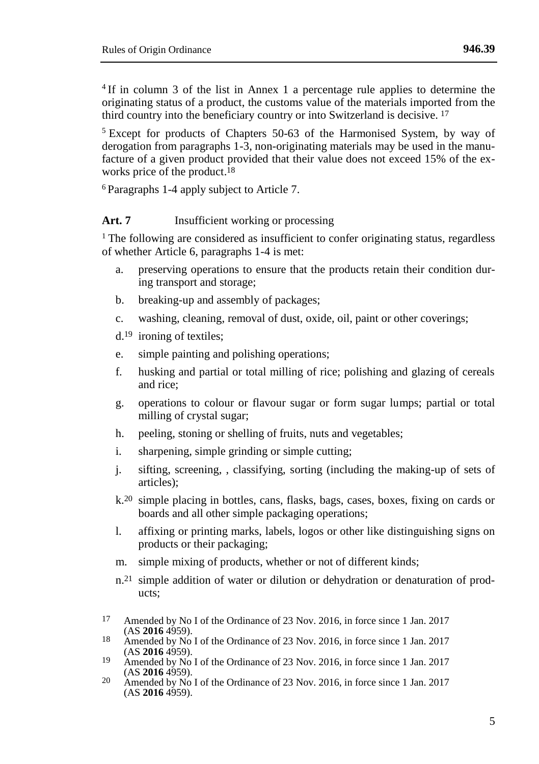4 If in column 3 of the list in Annex 1 a percentage rule applies to determine the originating status of a product, the customs value of the materials imported from the third country into the beneficiary country or into Switzerland is decisive. 17

<sup>5</sup> Except for products of Chapters 50-63 of the Harmonised System, by way of derogation from paragraphs 1-3, non-originating materials may be used in the manufacture of a given product provided that their value does not exceed 15% of the exworks price of the product. 18

<sup>6</sup> Paragraphs 1-4 apply subject to Article 7.

#### **Art. 7** Insufficient working or processing

<sup>1</sup> The following are considered as insufficient to confer originating status, regardless of whether Article 6, paragraphs 1-4 is met:

- a. preserving operations to ensure that the products retain their condition during transport and storage;
- b. breaking-up and assembly of packages;
- c. washing, cleaning, removal of dust, oxide, oil, paint or other coverings;

d.19 ironing of textiles;

- e. simple painting and polishing operations;
- f. husking and partial or total milling of rice; polishing and glazing of cereals and rice;
- g. operations to colour or flavour sugar or form sugar lumps; partial or total milling of crystal sugar;
- h. peeling, stoning or shelling of fruits, nuts and vegetables;
- i. sharpening, simple grinding or simple cutting;
- j. sifting, screening, , classifying, sorting (including the making-up of sets of articles);
- k. 20 simple placing in bottles, cans, flasks, bags, cases, boxes, fixing on cards or boards and all other simple packaging operations;
- l. affixing or printing marks, labels, logos or other like distinguishing signs on products or their packaging;
- m. simple mixing of products, whether or not of different kinds;
- n.21 simple addition of water or dilution or dehydration or denaturation of products;
- 17 Amended by No I of the Ordinance of 23 Nov. 2016, in force since 1 Jan. 2017 (AS **2016** 4959).
- 18 Amended by No I of the Ordinance of 23 Nov. 2016, in force since 1 Jan. 2017 (AS **2016** 4959).
- 19 Amended by No I of the Ordinance of 23 Nov. 2016, in force since 1 Jan. 2017 (AS **2016** 4959).
- 20 Amended by No I of the Ordinance of 23 Nov. 2016, in force since 1 Jan. 2017  $(AS 2016 4959).$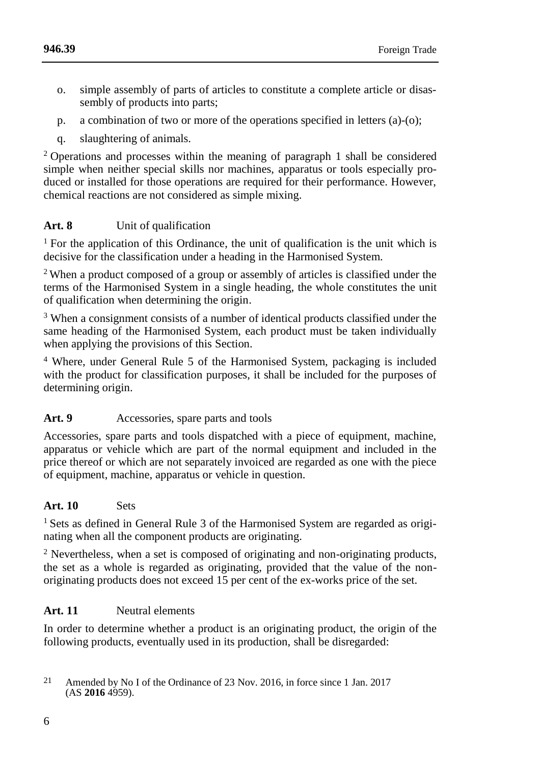- o. simple assembly of parts of articles to constitute a complete article or disassembly of products into parts;
- p. a combination of two or more of the operations specified in letters (a)-(o);
- q. slaughtering of animals.

<sup>2</sup> Operations and processes within the meaning of paragraph 1 shall be considered simple when neither special skills nor machines, apparatus or tools especially produced or installed for those operations are required for their performance. However, chemical reactions are not considered as simple mixing.

## **Art. 8** Unit of qualification

<sup>1</sup> For the application of this Ordinance, the unit of qualification is the unit which is decisive for the classification under a heading in the Harmonised System.

<sup>2</sup> When a product composed of a group or assembly of articles is classified under the terms of the Harmonised System in a single heading, the whole constitutes the unit of qualification when determining the origin.

<sup>3</sup> When a consignment consists of a number of identical products classified under the same heading of the Harmonised System, each product must be taken individually when applying the provisions of this Section.

<sup>4</sup> Where, under General Rule 5 of the Harmonised System, packaging is included with the product for classification purposes, it shall be included for the purposes of determining origin.

## Art. 9 Accessories, spare parts and tools

Accessories, spare parts and tools dispatched with a piece of equipment, machine, apparatus or vehicle which are part of the normal equipment and included in the price thereof or which are not separately invoiced are regarded as one with the piece of equipment, machine, apparatus or vehicle in question.

## **Art. 10** Sets

<sup>1</sup> Sets as defined in General Rule 3 of the Harmonised System are regarded as originating when all the component products are originating.

<sup>2</sup> Nevertheless, when a set is composed of originating and non-originating products, the set as a whole is regarded as originating, provided that the value of the nonoriginating products does not exceed 15 per cent of the ex-works price of the set.

## **Art. 11** Neutral elements

In order to determine whether a product is an originating product, the origin of the following products, eventually used in its production, shall be disregarded:

<sup>21</sup> Amended by No I of the Ordinance of 23 Nov. 2016, in force since 1 Jan. 2017  $(AS 2016 4959).$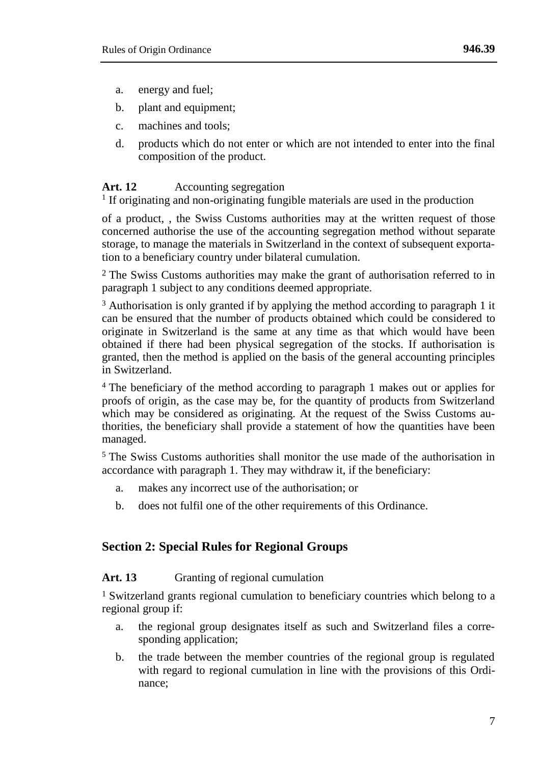- a. energy and fuel;
- b. plant and equipment;
- c. machines and tools;
- d. products which do not enter or which are not intended to enter into the final composition of the product.

#### Art. 12 Accounting segregation

<sup>1</sup> If originating and non-originating fungible materials are used in the production

of a product, , the Swiss Customs authorities may at the written request of those concerned authorise the use of the accounting segregation method without separate storage, to manage the materials in Switzerland in the context of subsequent exportation to a beneficiary country under bilateral cumulation.

2 The Swiss Customs authorities may make the grant of authorisation referred to in paragraph 1 subject to any conditions deemed appropriate.

<sup>3</sup> Authorisation is only granted if by applying the method according to paragraph 1 it can be ensured that the number of products obtained which could be considered to originate in Switzerland is the same at any time as that which would have been obtained if there had been physical segregation of the stocks. If authorisation is granted, then the method is applied on the basis of the general accounting principles in Switzerland.

<sup>4</sup> The beneficiary of the method according to paragraph 1 makes out or applies for proofs of origin, as the case may be, for the quantity of products from Switzerland which may be considered as originating. At the request of the Swiss Customs authorities, the beneficiary shall provide a statement of how the quantities have been managed.

 $<sup>5</sup>$  The Swiss Customs authorities shall monitor the use made of the authorisation in</sup> accordance with paragraph 1. They may withdraw it, if the beneficiary:

- a. makes any incorrect use of the authorisation; or
- b. does not fulfil one of the other requirements of this Ordinance.

## **Section 2: Special Rules for Regional Groups**

### Art. 13 Granting of regional cumulation

1 Switzerland grants regional cumulation to beneficiary countries which belong to a regional group if:

- a. the regional group designates itself as such and Switzerland files a corresponding application:
- b. the trade between the member countries of the regional group is regulated with regard to regional cumulation in line with the provisions of this Ordinance;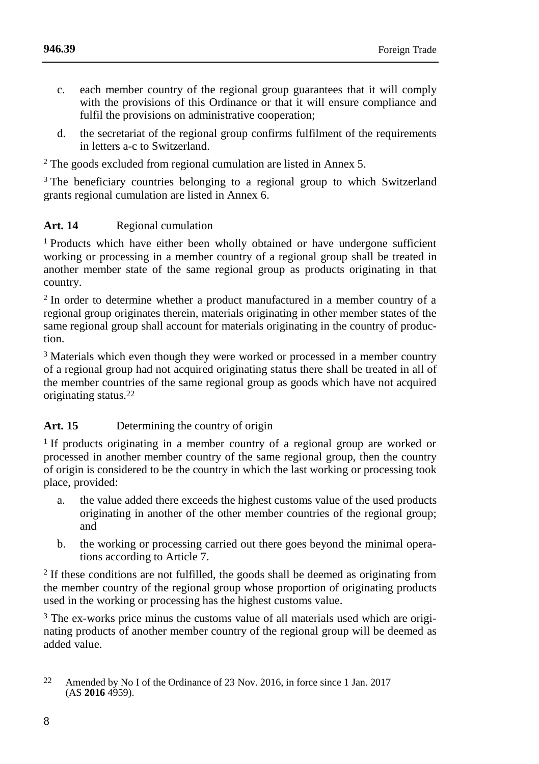**[946.39](#page-0-0)**

- c. each member country of the regional group guarantees that it will comply with the provisions of this Ordinance or that it will ensure compliance and fulfil the provisions on administrative cooperation;
- d. the secretariat of the regional group confirms fulfilment of the requirements in letters a-c to Switzerland.

 $2$  The goods excluded from regional cumulation are listed in Annex 5.

<sup>3</sup> The beneficiary countries belonging to a regional group to which Switzerland grants regional cumulation are listed in Annex 6.

## **Art. 14** Regional cumulation

<sup>1</sup> Products which have either been wholly obtained or have undergone sufficient working or processing in a member country of a regional group shall be treated in another member state of the same regional group as products originating in that country.

<sup>2</sup> In order to determine whether a product manufactured in a member country of a regional group originates therein, materials originating in other member states of the same regional group shall account for materials originating in the country of production.

<sup>3</sup> Materials which even though they were worked or processed in a member country of a regional group had not acquired originating status there shall be treated in all of the member countries of the same regional group as goods which have not acquired originating status.22

## **Art. 15** Determining the country of origin

<sup>1</sup> If products originating in a member country of a regional group are worked or processed in another member country of the same regional group, then the country of origin is considered to be the country in which the last working or processing took place, provided:

- a. the value added there exceeds the highest customs value of the used products originating in another of the other member countries of the regional group; and
- b. the working or processing carried out there goes beyond the minimal operations according to Article 7.

<sup>2</sup> If these conditions are not fulfilled, the goods shall be deemed as originating from the member country of the regional group whose proportion of originating products used in the working or processing has the highest customs value.

<sup>3</sup> The ex-works price minus the customs value of all materials used which are originating products of another member country of the regional group will be deemed as added value.

<sup>22</sup> Amended by No I of the Ordinance of 23 Nov. 2016, in force since 1 Jan. 2017  $(AS 2016 4959).$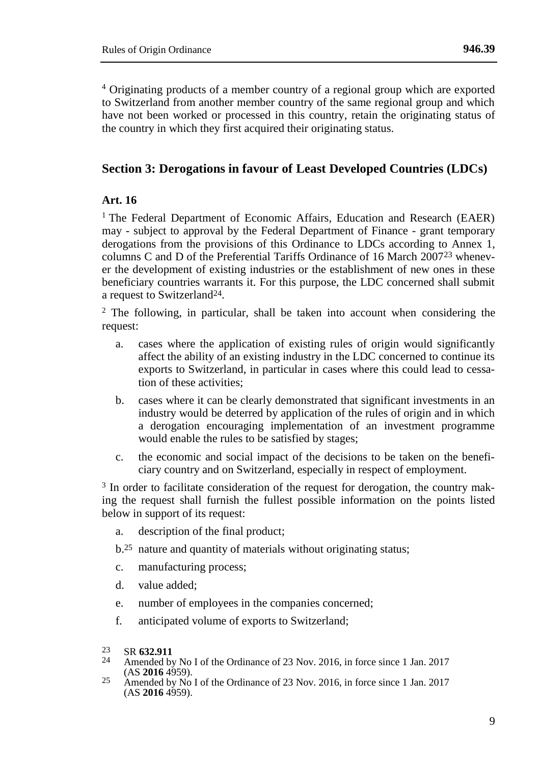<sup>4</sup> Originating products of a member country of a regional group which are exported to Switzerland from another member country of the same regional group and which have not been worked or processed in this country, retain the originating status of the country in which they first acquired their originating status.

## **Section 3: Derogations in favour of Least Developed Countries (LDCs)**

### **Art. 16**

<sup>1</sup> The Federal Department of Economic Affairs, Education and Research (EAER) may - subject to approval by the Federal Department of Finance - grant temporary derogations from the provisions of this Ordinance to LDCs according to Annex 1, columns C and D of the Preferential Tariffs Ordinance of 16 March 200723 whenever the development of existing industries or the establishment of new ones in these beneficiary countries warrants it. For this purpose, the LDC concerned shall submit a request to Switzerland24.

 $2$  The following, in particular, shall be taken into account when considering the request:

- a. cases where the application of existing rules of origin would significantly affect the ability of an existing industry in the LDC concerned to continue its exports to Switzerland, in particular in cases where this could lead to cessation of these activities;
- b. cases where it can be clearly demonstrated that significant investments in an industry would be deterred by application of the rules of origin and in which a derogation encouraging implementation of an investment programme would enable the rules to be satisfied by stages;
- c. the economic and social impact of the decisions to be taken on the beneficiary country and on Switzerland, especially in respect of employment.

<sup>3</sup> In order to facilitate consideration of the request for derogation, the country making the request shall furnish the fullest possible information on the points listed below in support of its request:

- a. description of the final product;
- b.25 nature and quantity of materials without originating status;
- c. manufacturing process;
- d. value added;
- e. number of employees in the companies concerned;
- f. anticipated volume of exports to Switzerland;

- Amended by No I of the Ordinance of 23 Nov. 2016, in force since 1 Jan. 2017 (AS **2016** 4959).
- $25$  Amended by No I of the Ordinance of 23 Nov. 2016, in force since 1 Jan. 2017  $(AS 2016 4959).$

 $^{23}_{24}$  SR **632.911**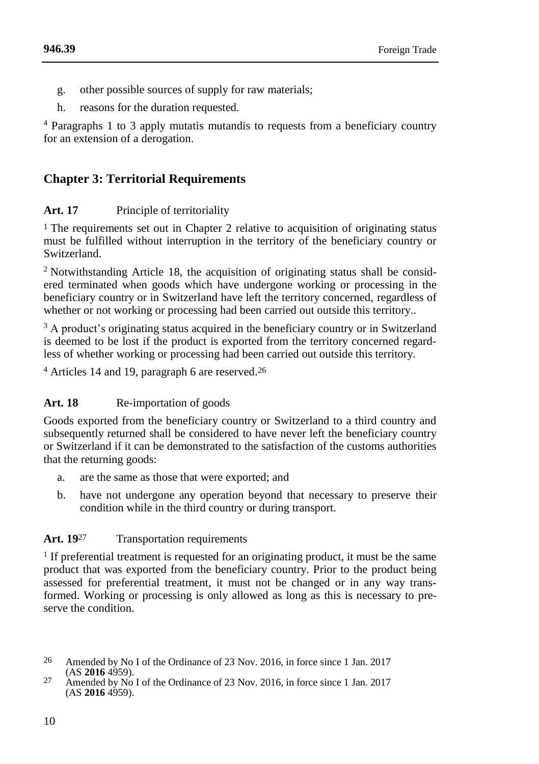- g. other possible sources of supply for raw materials;
- h. reasons for the duration requested.

<sup>4</sup> Paragraphs 1 to 3 apply mutatis mutandis to requests from a beneficiary country for an extension of a derogation.

# **Chapter 3: Territorial Requirements**

## **Art. 17** Principle of territoriality

1 The requirements set out in Chapter 2 relative to acquisition of originating status must be fulfilled without interruption in the territory of the beneficiary country or Switzerland.

<sup>2</sup> Notwithstanding Article 18, the acquisition of originating status shall be considered terminated when goods which have undergone working or processing in the beneficiary country or in Switzerland have left the territory concerned, regardless of whether or not working or processing had been carried out outside this territory...

<sup>3</sup> A product's originating status acquired in the beneficiary country or in Switzerland is deemed to be lost if the product is exported from the territory concerned regardless of whether working or processing had been carried out outside this territory.

<sup>4</sup> Articles 14 and 19, paragraph 6 are reserved.<sup>26</sup>

## Art. 18 Re-importation of goods

Goods exported from the beneficiary country or Switzerland to a third country and subsequently returned shall be considered to have never left the beneficiary country or Switzerland if it can be demonstrated to the satisfaction of the customs authorities that the returning goods:

- a. are the same as those that were exported; and
- b. have not undergone any operation beyond that necessary to preserve their condition while in the third country or during transport.

## Art. 19<sup>27</sup> Transportation requirements

<sup>1</sup> If preferential treatment is requested for an originating product, it must be the same product that was exported from the beneficiary country. Prior to the product being assessed for preferential treatment, it must not be changed or in any way transformed. Working or processing is only allowed as long as this is necessary to preserve the condition.

<sup>26</sup> Amended by No I of the Ordinance of 23 Nov. 2016, in force since 1 Jan. 2017 (AS **2016** 4959).

<sup>27</sup> Amended by No I of the Ordinance of 23 Nov. 2016, in force since 1 Jan. 2017  $(AS 2016 4959).$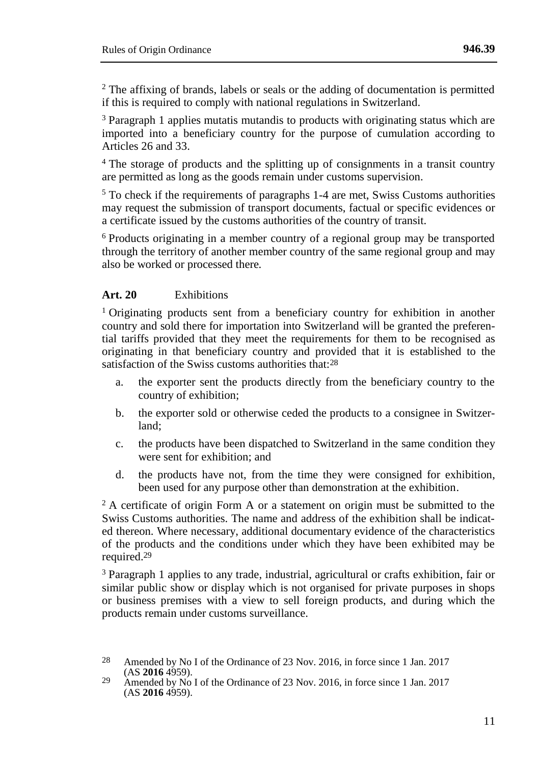$2$ <sup>2</sup> The affixing of brands, labels or seals or the adding of documentation is permitted if this is required to comply with national regulations in Switzerland.

<sup>3</sup> Paragraph 1 applies mutatis mutandis to products with originating status which are imported into a beneficiary country for the purpose of cumulation according to Articles 26 and 33.

<sup>4</sup> The storage of products and the splitting up of consignments in a transit country are permitted as long as the goods remain under customs supervision.

 $5$  To check if the requirements of paragraphs 1-4 are met. Swiss Customs authorities may request the submission of transport documents, factual or specific evidences or a certificate issued by the customs authorities of the country of transit.

<sup>6</sup> Products originating in a member country of a regional group may be transported through the territory of another member country of the same regional group and may also be worked or processed there.

## **Art. 20** Exhibitions

<sup>1</sup> Originating products sent from a beneficiary country for exhibition in another country and sold there for importation into Switzerland will be granted the preferential tariffs provided that they meet the requirements for them to be recognised as originating in that beneficiary country and provided that it is established to the satisfaction of the Swiss customs authorities that:28

- a. the exporter sent the products directly from the beneficiary country to the country of exhibition;
- b. the exporter sold or otherwise ceded the products to a consignee in Switzerland;
- c. the products have been dispatched to Switzerland in the same condition they were sent for exhibition; and
- d. the products have not, from the time they were consigned for exhibition, been used for any purpose other than demonstration at the exhibition.

 $2 A$  certificate of origin Form A or a statement on origin must be submitted to the Swiss Customs authorities. The name and address of the exhibition shall be indicated thereon. Where necessary, additional documentary evidence of the characteristics of the products and the conditions under which they have been exhibited may be required.<sup>29</sup>

<sup>3</sup> Paragraph 1 applies to any trade, industrial, agricultural or crafts exhibition, fair or similar public show or display which is not organised for private purposes in shops or business premises with a view to sell foreign products, and during which the products remain under customs surveillance.

<sup>28</sup> Amended by No I of the Ordinance of 23 Nov. 2016, in force since 1 Jan. 2017 (AS **2016** 4959).

 $29$  Amended by No I of the Ordinance of 23 Nov. 2016, in force since 1 Jan. 2017  $(AS 2016 4959).$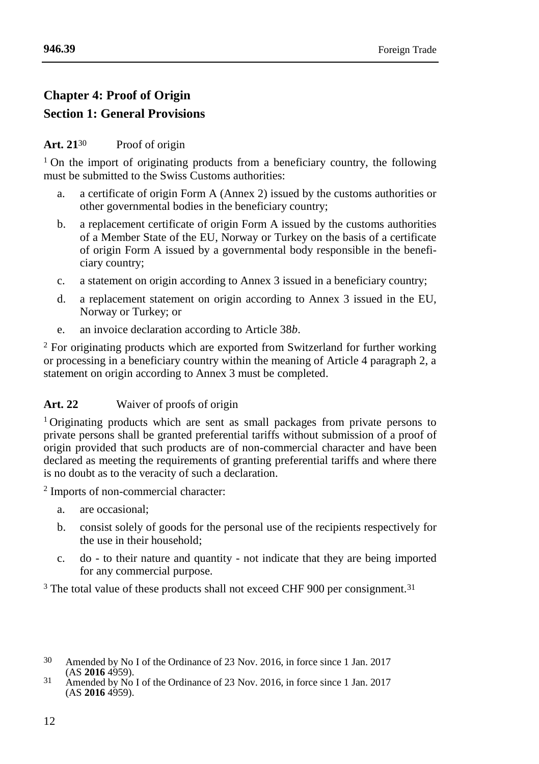# **Chapter 4: Proof of Origin Section 1: General Provisions**

## **Art. 21**30 Proof of origin

<sup>1</sup> On the import of originating products from a beneficiary country, the following must be submitted to the Swiss Customs authorities:

- a. a certificate of origin Form A (Annex 2) issued by the customs authorities or other governmental bodies in the beneficiary country;
- b. a replacement certificate of origin Form A issued by the customs authorities of a Member State of the EU, Norway or Turkey on the basis of a certificate of origin Form A issued by a governmental body responsible in the beneficiary country;
- c. a statement on origin according to Annex 3 issued in a beneficiary country;
- d. a replacement statement on origin according to Annex 3 issued in the EU, Norway or Turkey; or
- e. an invoice declaration according to Article 38*b*.

<sup>2</sup> For originating products which are exported from Switzerland for further working or processing in a beneficiary country within the meaning of Article 4 paragraph 2, a statement on origin according to Annex 3 must be completed.

## **Art. 22** Waiver of proofs of origin

<sup>1</sup> Originating products which are sent as small packages from private persons to private persons shall be granted preferential tariffs without submission of a proof of origin provided that such products are of non-commercial character and have been declared as meeting the requirements of granting preferential tariffs and where there is no doubt as to the veracity of such a declaration.

2 Imports of non-commercial character:

- a. are occasional;
- b. consist solely of goods for the personal use of the recipients respectively for the use in their household;
- c. do to their nature and quantity not indicate that they are being imported for any commercial purpose.

 $3$  The total value of these products shall not exceed CHF 900 per consignment.<sup>31</sup>

<sup>30</sup> Amended by No I of the Ordinance of 23 Nov. 2016, in force since 1 Jan. 2017 (AS **2016** 4959).

<sup>31</sup> Amended by No I of the Ordinance of 23 Nov. 2016, in force since 1 Jan. 2017  $(AS 2016 4959).$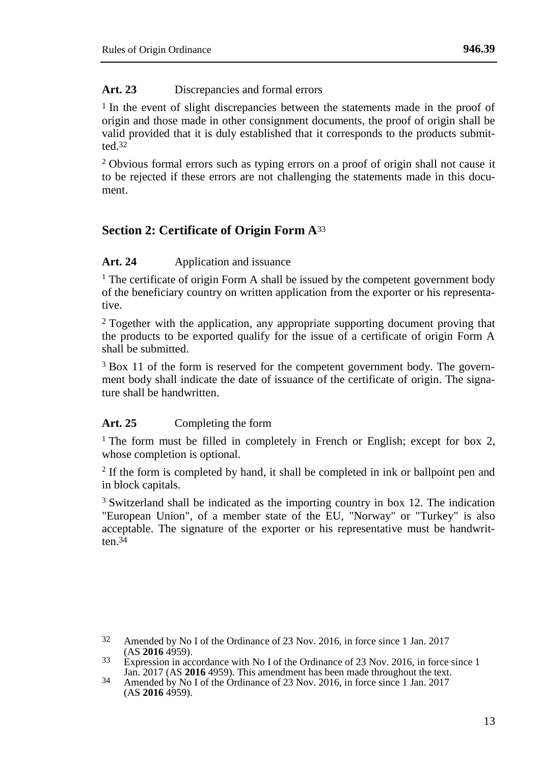#### **Art. 23** Discrepancies and formal errors

1 In the event of slight discrepancies between the statements made in the proof of origin and those made in other consignment documents, the proof of origin shall be valid provided that it is duly established that it corresponds to the products submitted. $32$ 

<sup>2</sup> Obvious formal errors such as typing errors on a proof of origin shall not cause it to be rejected if these errors are not challenging the statements made in this document.

## **Section 2: Certificate of Origin Form A**<sup>33</sup>

#### Art. 24 Application and issuance

<sup>1</sup> The certificate of origin Form A shall be issued by the competent government body of the beneficiary country on written application from the exporter or his representative.

<sup>2</sup> Together with the application, any appropriate supporting document proving that the products to be exported qualify for the issue of a certificate of origin Form A shall be submitted.

<sup>3</sup> Box 11 of the form is reserved for the competent government body. The government body shall indicate the date of issuance of the certificate of origin. The signature shall be handwritten.

#### **Art. 25** Completing the form

<sup>1</sup> The form must be filled in completely in French or English; except for box 2, whose completion is optional.

<sup>2</sup> If the form is completed by hand, it shall be completed in ink or ballpoint pen and in block capitals.

<sup>3</sup> Switzerland shall be indicated as the importing country in box 12. The indication "European Union", of a member state of the EU, "Norway" or "Turkey" is also acceptable. The signature of the exporter or his representative must be handwritten $34$ 

32 Amended by No I of the Ordinance of 23 Nov. 2016, in force since 1 Jan. 2017 (AS **2016** 4959).

<sup>&</sup>lt;sup>33</sup> Expression in accordance with No I of the Ordinance of 23 Nov. 2016, in force since 1 Jan. 2017 (AS **2016** 4959). This amendment has been made throughout the text.

<sup>34</sup> Amended by No I of the Ordinance of 23 Nov. 2016, in force since 1 Jan. 2017  $(AS 2016 4959).$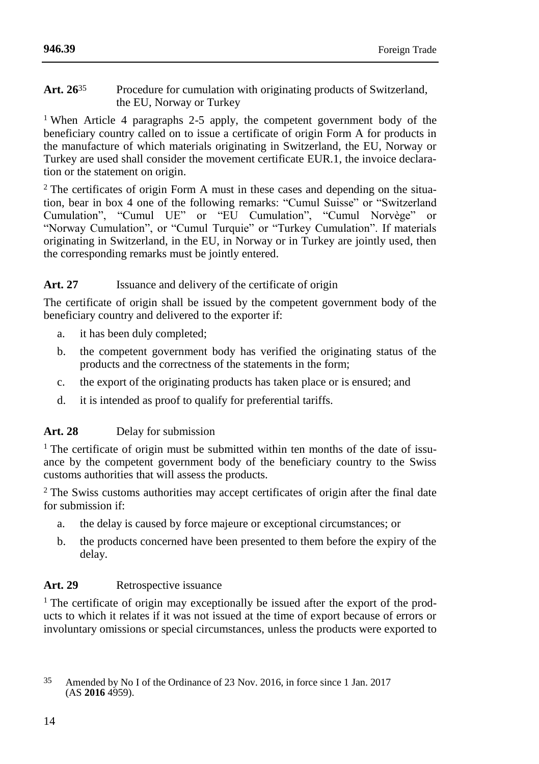#### **Art. 26**35 Procedure for cumulation with originating products of Switzerland, the EU, Norway or Turkey

<sup>1</sup> When Article 4 paragraphs 2-5 apply, the competent government body of the beneficiary country called on to issue a certificate of origin Form A for products in the manufacture of which materials originating in Switzerland, the EU, Norway or Turkey are used shall consider the movement certificate EUR.1, the invoice declaration or the statement on origin.

<sup>2</sup> The certificates of origin Form A must in these cases and depending on the situation, bear in box 4 one of the following remarks: "Cumul Suisse" or "Switzerland Cumulation", "Cumul UE" or "EU Cumulation", "Cumul Norvège" or "Norway Cumulation", or "Cumul Turquie" or "Turkey Cumulation". If materials originating in Switzerland, in the EU, in Norway or in Turkey are jointly used, then the corresponding remarks must be jointly entered.

## Art. 27 **Issuance and delivery of the certificate of origin**

The certificate of origin shall be issued by the competent government body of the beneficiary country and delivered to the exporter if:

- a. it has been duly completed;
- b. the competent government body has verified the originating status of the products and the correctness of the statements in the form;
- c. the export of the originating products has taken place or is ensured; and
- d. it is intended as proof to qualify for preferential tariffs.

## **Art. 28** Delay for submission

<sup>1</sup> The certificate of origin must be submitted within ten months of the date of issuance by the competent government body of the beneficiary country to the Swiss customs authorities that will assess the products.

<sup>2</sup> The Swiss customs authorities may accept certificates of origin after the final date for submission if:

- a. the delay is caused by force majeure or exceptional circumstances; or
- b. the products concerned have been presented to them before the expiry of the delay.

## **Art. 29** Retrospective issuance

<sup>1</sup> The certificate of origin may exceptionally be issued after the export of the products to which it relates if it was not issued at the time of export because of errors or involuntary omissions or special circumstances, unless the products were exported to

<sup>35</sup> Amended by No I of the Ordinance of 23 Nov. 2016, in force since 1 Jan. 2017  $(AS 2016 4959).$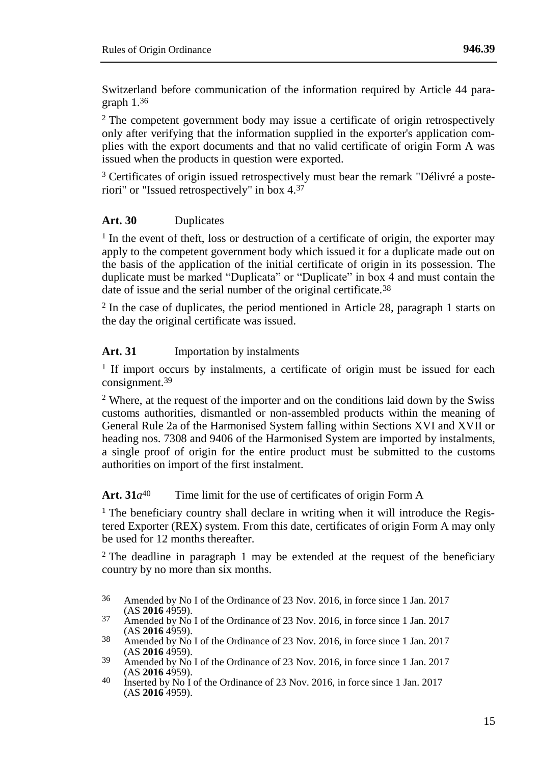Switzerland before communication of the information required by Article 44 paragraph 1.36

<sup>2</sup> The competent government body may issue a certificate of origin retrospectively only after verifying that the information supplied in the exporter's application complies with the export documents and that no valid certificate of origin Form A was issued when the products in question were exported.

<sup>3</sup> Certificates of origin issued retrospectively must bear the remark "Délivré a posteriori" or "Issued retrospectively" in box 4.37

#### **Art. 30** Duplicates

<sup>1</sup> In the event of theft, loss or destruction of a certificate of origin, the exporter may apply to the competent government body which issued it for a duplicate made out on the basis of the application of the initial certificate of origin in its possession. The duplicate must be marked "Duplicata" or "Duplicate" in box 4 and must contain the date of issue and the serial number of the original certificate.<sup>38</sup>

<sup>2</sup> In the case of duplicates, the period mentioned in Article 28, paragraph 1 starts on the day the original certificate was issued.

#### **Art. 31** Importation by instalments

<sup>1</sup> If import occurs by instalments, a certificate of origin must be issued for each consignment.39

 $2$  Where, at the request of the importer and on the conditions laid down by the Swiss customs authorities, dismantled or non-assembled products within the meaning of General Rule 2a of the Harmonised System falling within Sections XVI and XVII or heading nos. 7308 and 9406 of the Harmonised System are imported by instalments, a single proof of origin for the entire product must be submitted to the customs authorities on import of the first instalment.

## Art.  $31a^{40}$  Time limit for the use of certificates of origin Form A

 $<sup>1</sup>$  The beneficiary country shall declare in writing when it will introduce the Regis-</sup> tered Exporter (REX) system. From this date, certificates of origin Form A may only be used for 12 months thereafter.

<sup>2</sup> The deadline in paragraph 1 may be extended at the request of the beneficiary country by no more than six months.

<sup>36</sup> Amended by No I of the Ordinance of 23 Nov. 2016, in force since 1 Jan. 2017 (AS **2016** 4959).

<sup>&</sup>lt;sup>37</sup> Amended by No I of the Ordinance of 23 Nov. 2016, in force since 1 Jan. 2017 (AS **2016** 4959).

<sup>38</sup> Amended by No I of the Ordinance of 23 Nov. 2016, in force since 1 Jan. 2017 (AS **2016** 4959).

<sup>&</sup>lt;sup>39</sup> Amended by No I of the Ordinance of 23 Nov. 2016, in force since 1 Jan. 2017 (AS **2016** 4959).

<sup>40</sup> Inserted by No I of the Ordinance of 23 Nov. 2016, in force since 1 Jan. 2017 (AS **2016** 4959).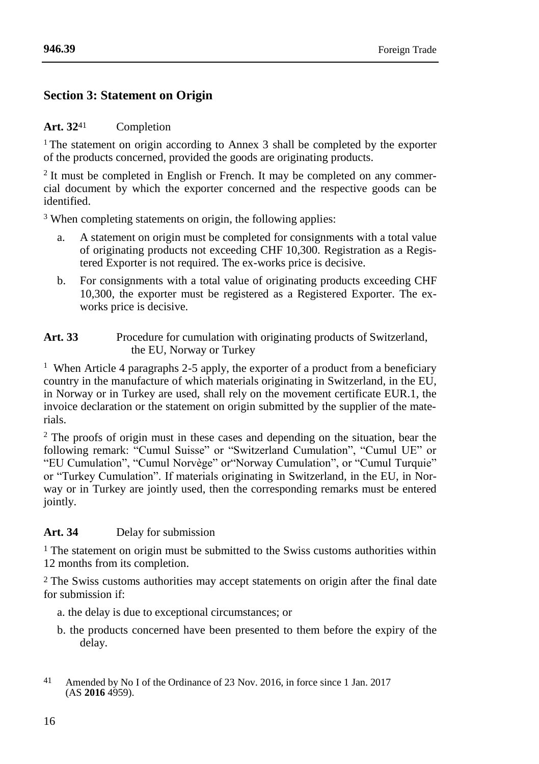#### **[946.39](#page-0-0)**

## **Section 3: Statement on Origin**

### **Art. 32**41 Completion

<sup>1</sup> The statement on origin according to Annex 3 shall be completed by the exporter of the products concerned, provided the goods are originating products.

<sup>2</sup> It must be completed in English or French. It may be completed on any commercial document by which the exporter concerned and the respective goods can be identified.

<sup>3</sup> When completing statements on origin, the following applies:

- a. A statement on origin must be completed for consignments with a total value of originating products not exceeding CHF 10,300. Registration as a Registered Exporter is not required. The ex-works price is decisive.
- b. For consignments with a total value of originating products exceeding CHF 10,300, the exporter must be registered as a Registered Exporter. The exworks price is decisive.
- **Art. 33** Procedure for cumulation with originating products of Switzerland, the EU, Norway or Turkey

<sup>1</sup> When Article 4 paragraphs 2-5 apply, the exporter of a product from a beneficiary country in the manufacture of which materials originating in Switzerland, in the EU, in Norway or in Turkey are used, shall rely on the movement certificate EUR.1, the invoice declaration or the statement on origin submitted by the supplier of the materials.

<sup>2</sup> The proofs of origin must in these cases and depending on the situation, bear the following remark: "Cumul Suisse" or "Switzerland Cumulation", "Cumul UE" or "EU Cumulation", "Cumul Norvège" or"Norway Cumulation", or "Cumul Turquie" or "Turkey Cumulation". If materials originating in Switzerland, in the EU, in Norway or in Turkey are jointly used, then the corresponding remarks must be entered jointly.

## **Art. 34** Delay for submission

<sup>1</sup> The statement on origin must be submitted to the Swiss customs authorities within 12 months from its completion.

2 The Swiss customs authorities may accept statements on origin after the final date for submission if:

- a. the delay is due to exceptional circumstances; or
- b. the products concerned have been presented to them before the expiry of the delay.

<sup>41</sup> Amended by No I of the Ordinance of 23 Nov. 2016, in force since 1 Jan. 2017  $(AS 2016 4959).$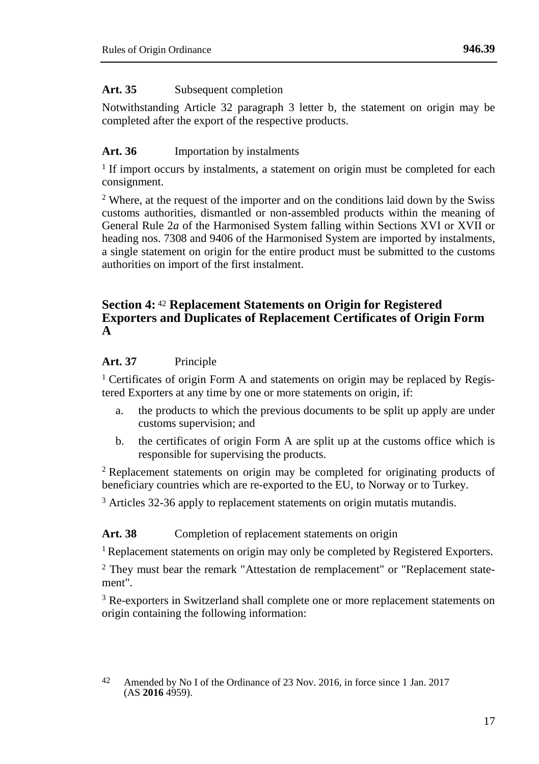## **Art. 35** Subsequent completion

Notwithstanding Article 32 paragraph 3 letter b, the statement on origin may be completed after the export of the respective products.

## **Art. 36** Importation by instalments

<sup>1</sup> If import occurs by instalments, a statement on origin must be completed for each consignment.

<sup>2</sup> Where, at the request of the importer and on the conditions laid down by the Swiss customs authorities, dismantled or non-assembled products within the meaning of General Rule 2*a* of the Harmonised System falling within Sections XVI or XVII or heading nos. 7308 and 9406 of the Harmonised System are imported by instalments, a single statement on origin for the entire product must be submitted to the customs authorities on import of the first instalment.

## **Section 4:** <sup>42</sup> **Replacement Statements on Origin for Registered Exporters and Duplicates of Replacement Certificates of Origin Form A**

## **Art. 37** Principle

<sup>1</sup> Certificates of origin Form A and statements on origin may be replaced by Registered Exporters at any time by one or more statements on origin, if:

- a. the products to which the previous documents to be split up apply are under customs supervision; and
- b. the certificates of origin Form A are split up at the customs office which is responsible for supervising the products.

<sup>2</sup> Replacement statements on origin may be completed for originating products of beneficiary countries which are re-exported to the EU, to Norway or to Turkey.

<sup>3</sup> Articles 32-36 apply to replacement statements on origin mutatis mutandis.

## Art. 38 Completion of replacement statements on origin

<sup>1</sup> Replacement statements on origin may only be completed by Registered Exporters.

<sup>2</sup> They must bear the remark "Attestation de remplacement" or "Replacement statement".

<sup>3</sup> Re-exporters in Switzerland shall complete one or more replacement statements on origin containing the following information:

<sup>42</sup> Amended by No I of the Ordinance of 23 Nov. 2016, in force since 1 Jan. 2017  $(AS 2016 4959).$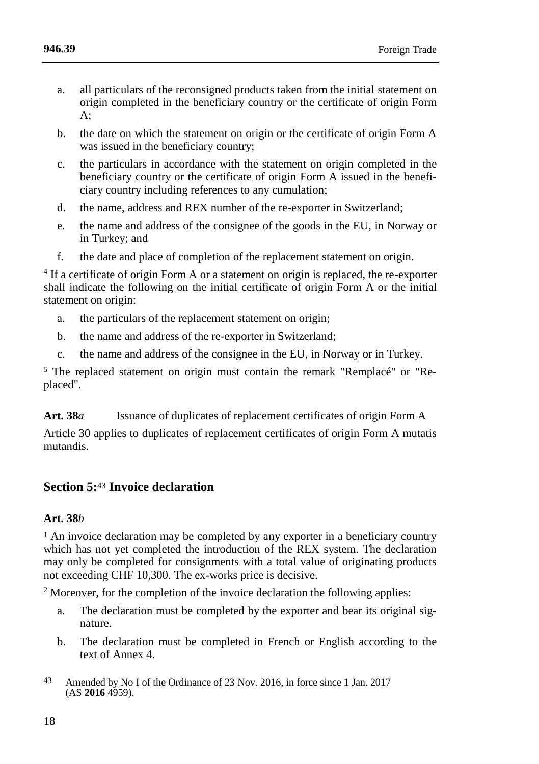- a. all particulars of the reconsigned products taken from the initial statement on origin completed in the beneficiary country or the certificate of origin Form A;
- b. the date on which the statement on origin or the certificate of origin Form A was issued in the beneficiary country;
- c. the particulars in accordance with the statement on origin completed in the beneficiary country or the certificate of origin Form A issued in the beneficiary country including references to any cumulation;
- d. the name, address and REX number of the re-exporter in Switzerland;
- e. the name and address of the consignee of the goods in the EU, in Norway or in Turkey; and
- f. the date and place of completion of the replacement statement on origin.

<sup>4</sup> If a certificate of origin Form A or a statement on origin is replaced, the re-exporter shall indicate the following on the initial certificate of origin Form A or the initial statement on origin:

- a. the particulars of the replacement statement on origin;
- b. the name and address of the re-exporter in Switzerland;
- c. the name and address of the consignee in the EU, in Norway or in Turkey.

<sup>5</sup> The replaced statement on origin must contain the remark "Remplacé" or "Replaced".

**Art. 38***a* Issuance of duplicates of replacement certificates of origin Form A

Article 30 applies to duplicates of replacement certificates of origin Form A mutatis mutandis.

## **Section 5:**<sup>43</sup> **Invoice declaration**

## **Art. 38***b*

<sup>1</sup> An invoice declaration may be completed by any exporter in a beneficiary country which has not yet completed the introduction of the REX system. The declaration may only be completed for consignments with a total value of originating products not exceeding CHF 10,300. The ex-works price is decisive.

<sup>2</sup> Moreover, for the completion of the invoice declaration the following applies:

- a. The declaration must be completed by the exporter and bear its original signature.
- b. The declaration must be completed in French or English according to the text of Annex 4.
- 43 Amended by No I of the Ordinance of 23 Nov. 2016, in force since 1 Jan. 2017  $(AS 2016 4959).$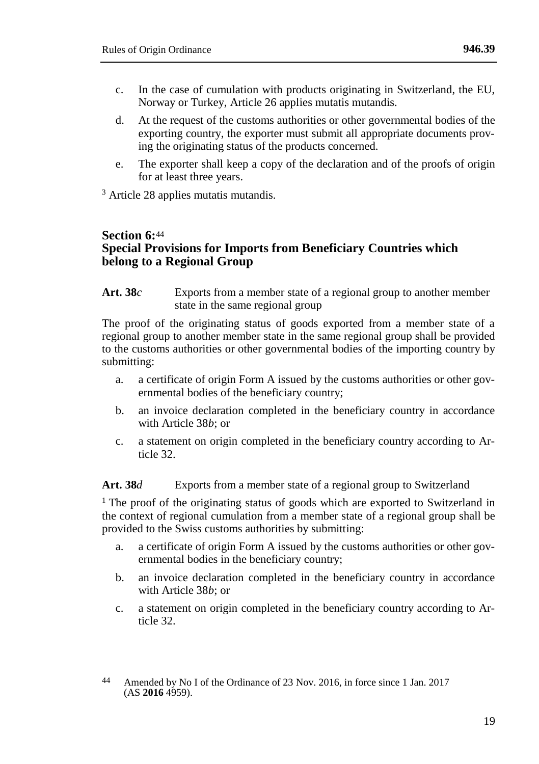- c. In the case of cumulation with products originating in Switzerland, the EU, Norway or Turkey, Article 26 applies mutatis mutandis.
- d. At the request of the customs authorities or other governmental bodies of the exporting country, the exporter must submit all appropriate documents proving the originating status of the products concerned.
- e. The exporter shall keep a copy of the declaration and of the proofs of origin for at least three years.

<sup>3</sup> Article 28 applies mutatis mutandis.

## **Section 6:**<sup>44</sup> **Special Provisions for Imports from Beneficiary Countries which belong to a Regional Group**

**Art. 38***c* Exports from a member state of a regional group to another member state in the same regional group

The proof of the originating status of goods exported from a member state of a regional group to another member state in the same regional group shall be provided to the customs authorities or other governmental bodies of the importing country by submitting:

- a. a certificate of origin Form A issued by the customs authorities or other governmental bodies of the beneficiary country;
- b. an invoice declaration completed in the beneficiary country in accordance with Article 38*b*; or
- c. a statement on origin completed in the beneficiary country according to Article 32.

## **Art. 38***d* Exports from a member state of a regional group to Switzerland

<sup>1</sup> The proof of the originating status of goods which are exported to Switzerland in the context of regional cumulation from a member state of a regional group shall be provided to the Swiss customs authorities by submitting:

- a. a certificate of origin Form A issued by the customs authorities or other governmental bodies in the beneficiary country;
- b. an invoice declaration completed in the beneficiary country in accordance with Article 38*b*; or
- c. a statement on origin completed in the beneficiary country according to Article 32.

<sup>44</sup> Amended by No I of the Ordinance of 23 Nov. 2016, in force since 1 Jan. 2017  $(AS 2016 4959).$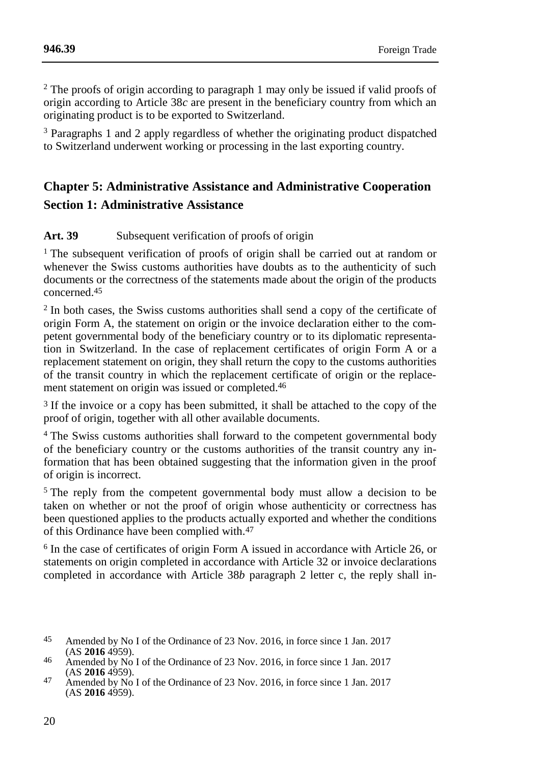<sup>2</sup> The proofs of origin according to paragraph 1 may only be issued if valid proofs of origin according to Article 38*c* are present in the beneficiary country from which an originating product is to be exported to Switzerland.

<sup>3</sup> Paragraphs 1 and 2 apply regardless of whether the originating product dispatched to Switzerland underwent working or processing in the last exporting country.

# **Chapter 5: Administrative Assistance and Administrative Cooperation Section 1: Administrative Assistance**

## **Art. 39** Subsequent verification of proofs of origin

<sup>1</sup> The subsequent verification of proofs of origin shall be carried out at random or whenever the Swiss customs authorities have doubts as to the authenticity of such documents or the correctness of the statements made about the origin of the products concerned.45

<sup>2</sup> In both cases, the Swiss customs authorities shall send a copy of the certificate of origin Form A, the statement on origin or the invoice declaration either to the competent governmental body of the beneficiary country or to its diplomatic representation in Switzerland. In the case of replacement certificates of origin Form A or a replacement statement on origin, they shall return the copy to the customs authorities of the transit country in which the replacement certificate of origin or the replacement statement on origin was issued or completed. 46

3 If the invoice or a copy has been submitted, it shall be attached to the copy of the proof of origin, together with all other available documents.

<sup>4</sup> The Swiss customs authorities shall forward to the competent governmental body of the beneficiary country or the customs authorities of the transit country any information that has been obtained suggesting that the information given in the proof of origin is incorrect.

<sup>5</sup> The reply from the competent governmental body must allow a decision to be taken on whether or not the proof of origin whose authenticity or correctness has been questioned applies to the products actually exported and whether the conditions of this Ordinance have been complied with.47

<sup>6</sup> In the case of certificates of origin Form A issued in accordance with Article 26, or statements on origin completed in accordance with Article 32 or invoice declarations completed in accordance with Article 38*b* paragraph 2 letter c, the reply shall in-

<sup>45</sup> Amended by No I of the Ordinance of 23 Nov. 2016, in force since 1 Jan. 2017 (AS **2016** 4959).

<sup>46</sup> Amended by No I of the Ordinance of 23 Nov. 2016, in force since 1 Jan. 2017 (AS **2016** 4959).

<sup>47</sup> Amended by No I of the Ordinance of 23 Nov. 2016, in force since 1 Jan. 2017  $(AS 2016 4959).$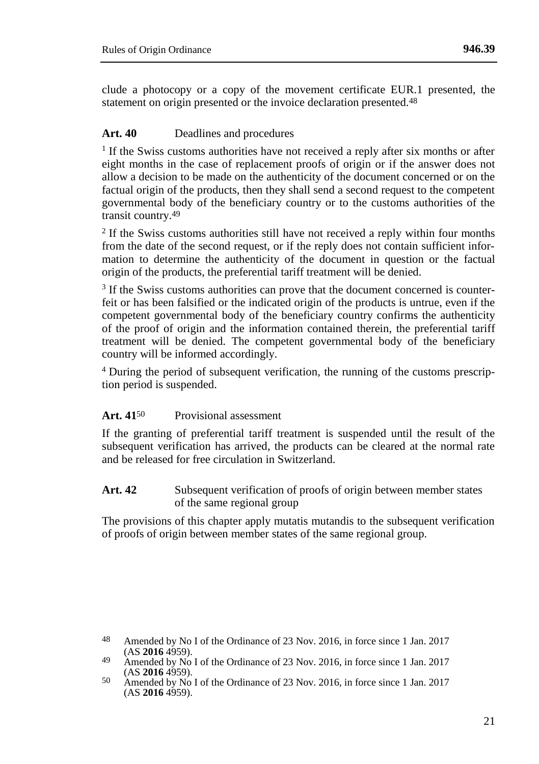clude a photocopy or a copy of the movement certificate EUR.1 presented, the statement on origin presented or the invoice declaration presented.<sup>48</sup>

### **Art. 40** Deadlines and procedures

<sup>1</sup> If the Swiss customs authorities have not received a reply after six months or after eight months in the case of replacement proofs of origin or if the answer does not allow a decision to be made on the authenticity of the document concerned or on the factual origin of the products, then they shall send a second request to the competent governmental body of the beneficiary country or to the customs authorities of the transit country.49

<sup>2</sup> If the Swiss customs authorities still have not received a reply within four months from the date of the second request, or if the reply does not contain sufficient information to determine the authenticity of the document in question or the factual origin of the products, the preferential tariff treatment will be denied.

<sup>3</sup> If the Swiss customs authorities can prove that the document concerned is counterfeit or has been falsified or the indicated origin of the products is untrue, even if the competent governmental body of the beneficiary country confirms the authenticity of the proof of origin and the information contained therein, the preferential tariff treatment will be denied. The competent governmental body of the beneficiary country will be informed accordingly.

<sup>4</sup> During the period of subsequent verification, the running of the customs prescription period is suspended.

#### **Art. 41**50 Provisional assessment

If the granting of preferential tariff treatment is suspended until the result of the subsequent verification has arrived, the products can be cleared at the normal rate and be released for free circulation in Switzerland.

#### Art. 42 Subsequent verification of proofs of origin between member states of the same regional group

The provisions of this chapter apply mutatis mutandis to the subsequent verification of proofs of origin between member states of the same regional group.

<sup>48</sup> Amended by No I of the Ordinance of 23 Nov. 2016, in force since 1 Jan. 2017  $(AS 2016 4959).$ 

<sup>49</sup> Amended by No I of the Ordinance of 23 Nov. 2016, in force since 1 Jan. 2017 (AS **2016** 4959).

<sup>50</sup> Amended by No I of the Ordinance of 23 Nov. 2016, in force since 1 Jan. 2017  $(AS 2016 4959).$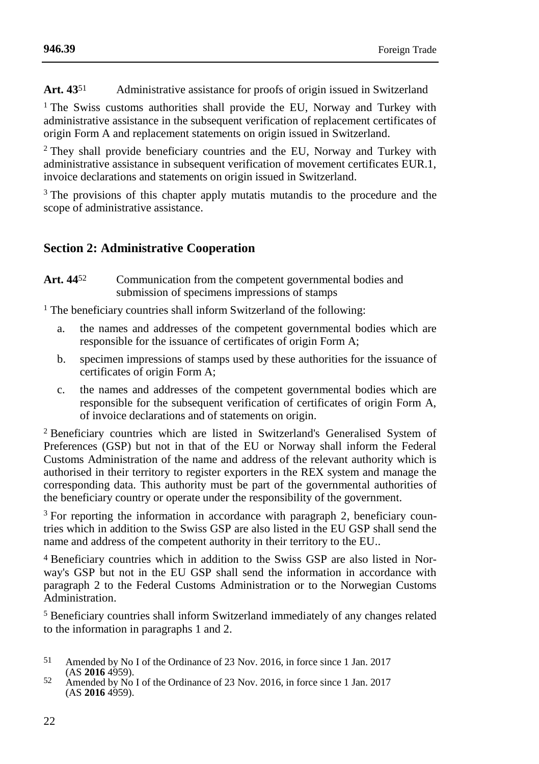**Art. 43**51 Administrative assistance for proofs of origin issued in Switzerland

<sup>1</sup> The Swiss customs authorities shall provide the EU, Norway and Turkey with administrative assistance in the subsequent verification of replacement certificates of origin Form A and replacement statements on origin issued in Switzerland.

<sup>2</sup> They shall provide beneficiary countries and the EU, Norway and Turkey with administrative assistance in subsequent verification of movement certificates EUR.1, invoice declarations and statements on origin issued in Switzerland.

<sup>3</sup> The provisions of this chapter apply mutatis mutandis to the procedure and the scope of administrative assistance.

## **Section 2: Administrative Cooperation**

Art. 44<sup>52</sup> Communication from the competent governmental bodies and submission of specimens impressions of stamps

<sup>1</sup> The beneficiary countries shall inform Switzerland of the following:

- a. the names and addresses of the competent governmental bodies which are responsible for the issuance of certificates of origin Form A;
- b. specimen impressions of stamps used by these authorities for the issuance of certificates of origin Form A;
- c. the names and addresses of the competent governmental bodies which are responsible for the subsequent verification of certificates of origin Form A, of invoice declarations and of statements on origin.

<sup>2</sup> Beneficiary countries which are listed in Switzerland's Generalised System of Preferences (GSP) but not in that of the EU or Norway shall inform the Federal Customs Administration of the name and address of the relevant authority which is authorised in their territory to register exporters in the REX system and manage the corresponding data. This authority must be part of the governmental authorities of the beneficiary country or operate under the responsibility of the government.

<sup>3</sup> For reporting the information in accordance with paragraph 2, beneficiary countries which in addition to the Swiss GSP are also listed in the EU GSP shall send the name and address of the competent authority in their territory to the EU..

4 Beneficiary countries which in addition to the Swiss GSP are also listed in Norway's GSP but not in the EU GSP shall send the information in accordance with paragraph 2 to the Federal Customs Administration or to the Norwegian Customs Administration.

<sup>5</sup> Beneficiary countries shall inform Switzerland immediately of any changes related to the information in paragraphs 1 and 2.

- 51 Amended by No I of the Ordinance of 23 Nov. 2016, in force since 1 Jan. 2017 (AS **2016** 4959).
- 52 Amended by No I of the Ordinance of 23 Nov. 2016, in force since 1 Jan. 2017  $(AS 2016 4959).$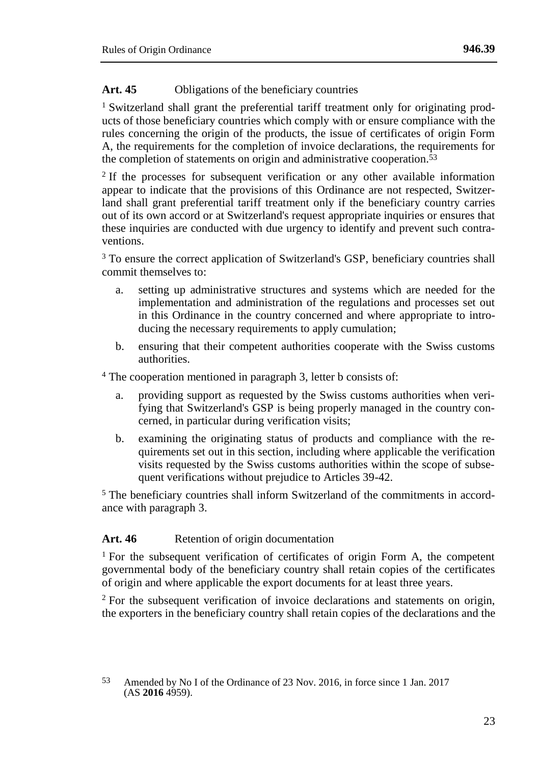## Art. 45 Obligations of the beneficiary countries

<sup>1</sup> Switzerland shall grant the preferential tariff treatment only for originating products of those beneficiary countries which comply with or ensure compliance with the rules concerning the origin of the products, the issue of certificates of origin Form A, the requirements for the completion of invoice declarations, the requirements for the completion of statements on origin and administrative cooperation.53

<sup>2</sup> If the processes for subsequent verification or any other available information appear to indicate that the provisions of this Ordinance are not respected, Switzerland shall grant preferential tariff treatment only if the beneficiary country carries out of its own accord or at Switzerland's request appropriate inquiries or ensures that these inquiries are conducted with due urgency to identify and prevent such contraventions.

<sup>3</sup> To ensure the correct application of Switzerland's GSP, beneficiary countries shall commit themselves to:

- a. setting up administrative structures and systems which are needed for the implementation and administration of the regulations and processes set out in this Ordinance in the country concerned and where appropriate to introducing the necessary requirements to apply cumulation;
- b. ensuring that their competent authorities cooperate with the Swiss customs authorities.

<sup>4</sup> The cooperation mentioned in paragraph 3, letter b consists of:

- a. providing support as requested by the Swiss customs authorities when verifying that Switzerland's GSP is being properly managed in the country concerned, in particular during verification visits;
- b. examining the originating status of products and compliance with the requirements set out in this section, including where applicable the verification visits requested by the Swiss customs authorities within the scope of subsequent verifications without prejudice to Articles 39-42.

<sup>5</sup> The beneficiary countries shall inform Switzerland of the commitments in accordance with paragraph 3.

## Art. 46 Retention of origin documentation

<sup>1</sup> For the subsequent verification of certificates of origin Form A, the competent governmental body of the beneficiary country shall retain copies of the certificates of origin and where applicable the export documents for at least three years.

<sup>2</sup> For the subsequent verification of invoice declarations and statements on origin, the exporters in the beneficiary country shall retain copies of the declarations and the

<sup>53</sup> Amended by No I of the Ordinance of 23 Nov. 2016, in force since 1 Jan. 2017  $(AS 2016 4959).$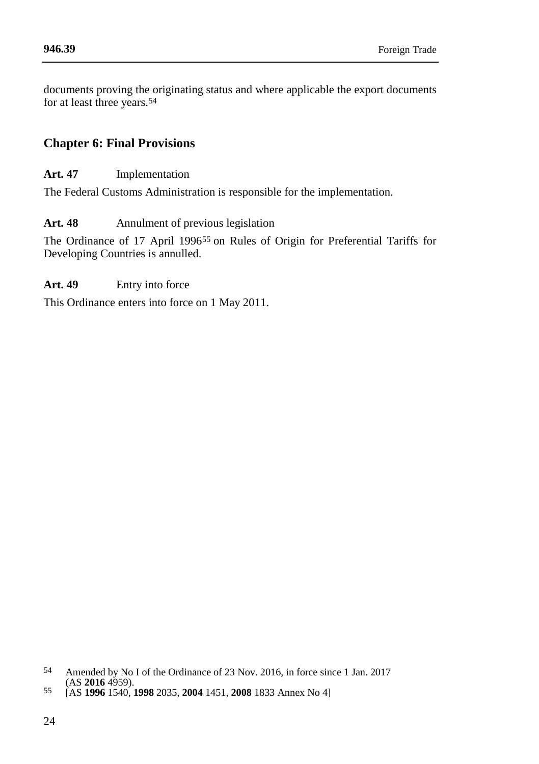documents proving the originating status and where applicable the export documents for at least three years.54

## **Chapter 6: Final Provisions**

**Art. 47** Implementation

The Federal Customs Administration is responsible for the implementation.

**Art. 48** Annulment of previous legislation

The Ordinance of 17 April 199655 on Rules of Origin for Preferential Tariffs for Developing Countries is annulled.

#### **Art. 49** Entry into force

This Ordinance enters into force on 1 May 2011.

<sup>54</sup> Amended by No I of the Ordinance of 23 Nov. 2016, in force since 1 Jan. 2017 (AS **2016** 4959).

<sup>55</sup> [AS **1996** 1540, **1998** 2035, **2004** 1451, **2008** 1833 Annex No 4]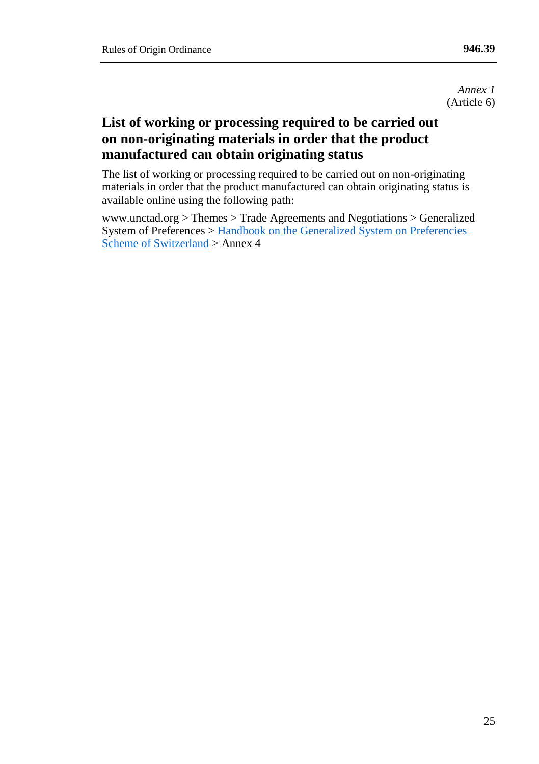*Annex 1* (Article 6)

# **List of working or processing required to be carried out on non-originating materials in order that the product manufactured can obtain originating status**

The list of working or processing required to be carried out on non-originating materials in order that the product manufactured can obtain originating status is available online using the following path:

www.unctad.org > Themes > Trade Agreements and Negotiations > Generalized System of Preferences [> Handbook on the Generalized System on Preferencies](http://unctad.org/en/PublicationsLibrary/itcdtsbm28rev3_en.pdf)  [Scheme of Switzerland](http://unctad.org/en/PublicationsLibrary/itcdtsbm28rev3_en.pdf) > Annex 4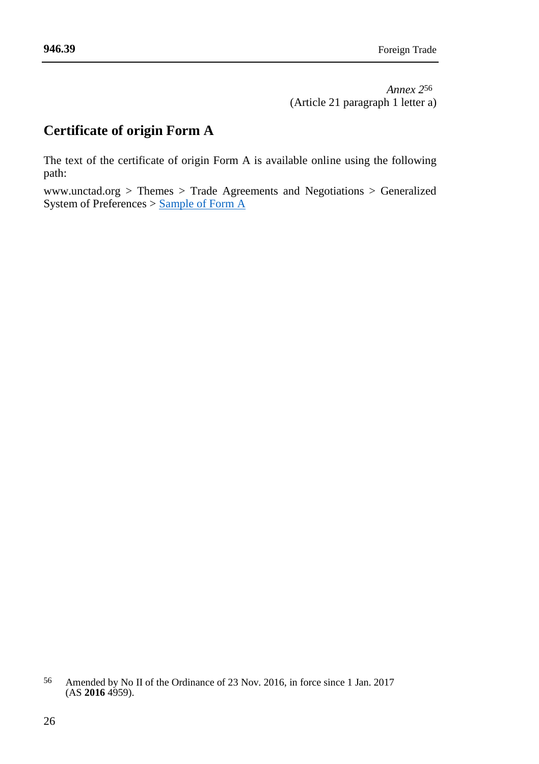# **Certificate of origin Form A**

The text of the certificate of origin Form A is available online using the following path:

www.unctad.org > Themes > Trade Agreements and Negotiations > Generalized System of Preferences > [Sample of Form A](http://unctad.org/en/Pages/DITC/GSP/Sample-of-GSP-certificate-of-origin-Form-A.aspx)

<sup>56</sup> Amended by No II of the Ordinance of 23 Nov. 2016, in force since 1 Jan. 2017  $(AS 2016 4959).$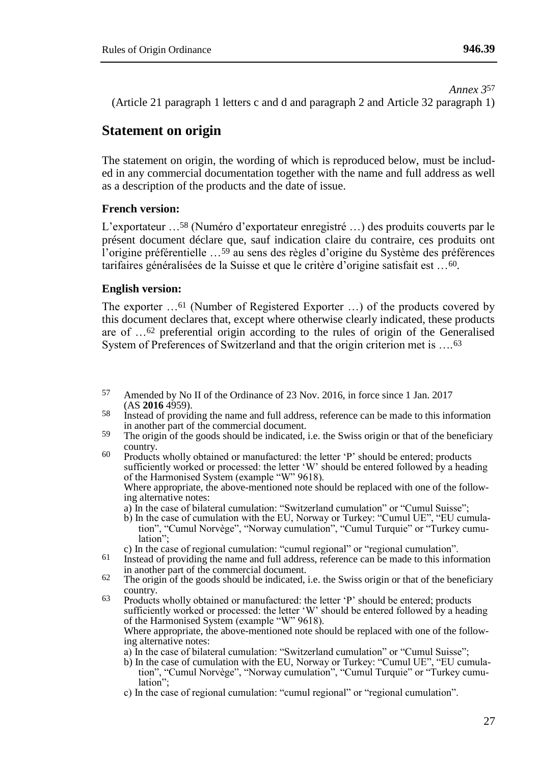*Annex 3*57

(Article 21 paragraph 1 letters c and d and paragraph 2 and Article 32 paragraph 1)

## **Statement on origin**

The statement on origin, the wording of which is reproduced below, must be included in any commercial documentation together with the name and full address as well as a description of the products and the date of issue.

#### **French version:**

L'exportateur …58 (Numéro d'exportateur enregistré …) des produits couverts par le présent document déclare que, sauf indication claire du contraire, ces produits ont l'origine préférentielle ...<sup>59</sup> au sens des règles d'origine du Système des préférences tarifaires généralisées de la Suisse et que le critère d'origine satisfait est …60.

#### **English version:**

The exporter …61 (Number of Registered Exporter …) of the products covered by this document declares that, except where otherwise clearly indicated, these products are of …62 preferential origin according to the rules of origin of the Generalised System of Preferences of Switzerland and that the origin criterion met is ....<sup>63</sup>

- 57 Amended by No II of the Ordinance of 23 Nov. 2016, in force since 1 Jan. 2017 (AS **2016** 4959).
- 58 Instead of providing the name and full address, reference can be made to this information in another part of the commercial document.
- <sup>59</sup> The origin of the goods should be indicated, i.e. the Swiss origin or that of the beneficiary country.

<sup>60</sup> Products wholly obtained or manufactured: the letter 'P' should be entered; products sufficiently worked or processed: the letter 'W' should be entered followed by a heading of the Harmonised System (example "W" 9618). Where appropriate, the above-mentioned note should be replaced with one of the following alternative notes:

- a) In the case of bilateral cumulation: "Switzerland cumulation" or "Cumul Suisse";
- b) In the case of cumulation with the EU, Norway or Turkey: "Cumul UE", "EU cumulation", "Cumul Norvège", "Norway cumulation", "Cumul Turquie" or "Turkey cumulation";
- c) In the case of regional cumulation: "cumul regional" or "regional cumulation".
- 61 Instead of providing the name and full address, reference can be made to this information in another part of the commercial document.
- $62$  The origin of the goods should be indicated, i.e. the Swiss origin or that of the beneficiary country.

63 Products wholly obtained or manufactured: the letter 'P' should be entered; products sufficiently worked or processed: the letter 'W' should be entered followed by a heading of the Harmonised System (example "W" 9618). Where appropriate, the above-mentioned note should be replaced with one of the follow-

ing alternative notes:

- a) In the case of bilateral cumulation: "Switzerland cumulation" or "Cumul Suisse";
- b) In the case of cumulation with the EU, Norway or Turkey: "Cumul UE", "EU cumula-tion", "Cumul Norvège", "Norway cumulation", "Cumul Turquie" or "Turkey cumulation";
- c) In the case of regional cumulation: "cumul regional" or "regional cumulation".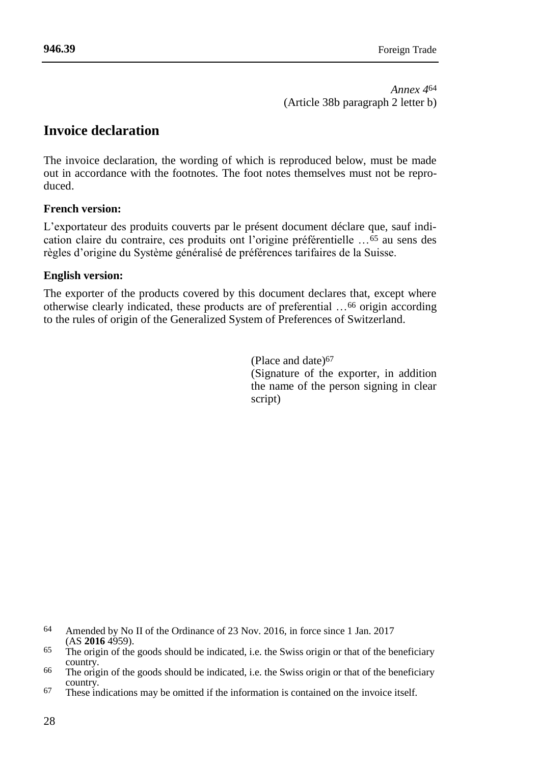*Annex 4*64 (Article 38b paragraph 2 letter b)

## **Invoice declaration**

The invoice declaration, the wording of which is reproduced below, must be made out in accordance with the footnotes. The foot notes themselves must not be reproduced.

## **French version:**

L'exportateur des produits couverts par le présent document déclare que, sauf indication claire du contraire, ces produits ont l'origine préférentielle …65 au sens des règles d'origine du Système généralisé de préférences tarifaires de la Suisse.

#### **English version:**

The exporter of the products covered by this document declares that, except where otherwise clearly indicated, these products are of preferential …66 origin according to the rules of origin of the Generalized System of Preferences of Switzerland.

> (Place and date)67 (Signature of the exporter, in addition the name of the person signing in clear script)

- 64 Amended by No II of the Ordinance of 23 Nov. 2016, in force since 1 Jan. 2017 (AS **2016** 4959).
- $65$  The origin of the goods should be indicated, i.e. the Swiss origin or that of the beneficiary country.
- <sup>66</sup> The origin of the goods should be indicated, i.e. the Swiss origin or that of the beneficiary country.
- 67 These indications may be omitted if the information is contained on the invoice itself.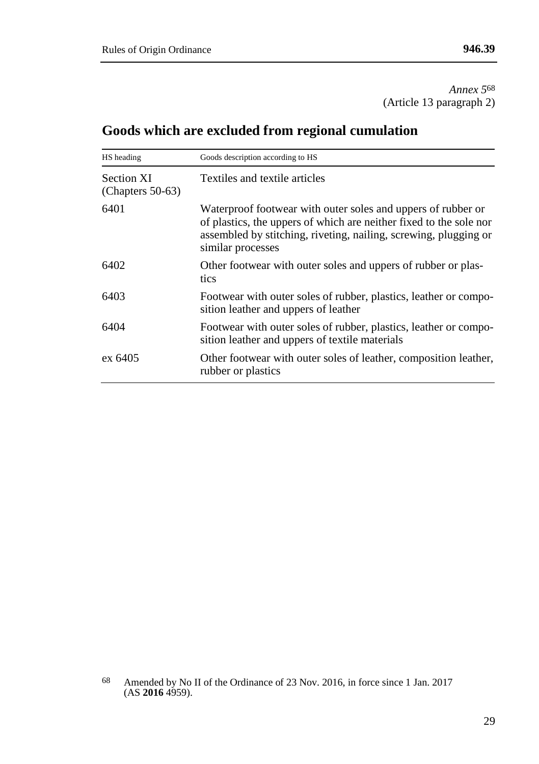*Annex 5*68 (Article 13 paragraph 2)

# **Goods which are excluded from regional cumulation**

| HS heading                        | Goods description according to HS                                                                                                                                                                                           |
|-----------------------------------|-----------------------------------------------------------------------------------------------------------------------------------------------------------------------------------------------------------------------------|
| Section XI<br>(Chapters $50-63$ ) | Textiles and textile articles                                                                                                                                                                                               |
| 6401                              | Waterproof footwear with outer soles and uppers of rubber or<br>of plastics, the uppers of which are neither fixed to the sole nor<br>assembled by stitching, riveting, nailing, screwing, plugging or<br>similar processes |
| 6402                              | Other footwear with outer soles and uppers of rubber or plas-<br>tics                                                                                                                                                       |
| 6403                              | Footwear with outer soles of rubber, plastics, leather or compo-<br>sition leather and uppers of leather                                                                                                                    |
| 6404                              | Footwear with outer soles of rubber, plastics, leather or compo-<br>sition leather and uppers of textile materials                                                                                                          |
| ex 6405                           | Other footwear with outer soles of leather, composition leather,<br>rubber or plastics                                                                                                                                      |

<sup>68</sup> Amended by No II of the Ordinance of 23 Nov. 2016, in force since 1 Jan. 2017 (AS **2016** 4959).